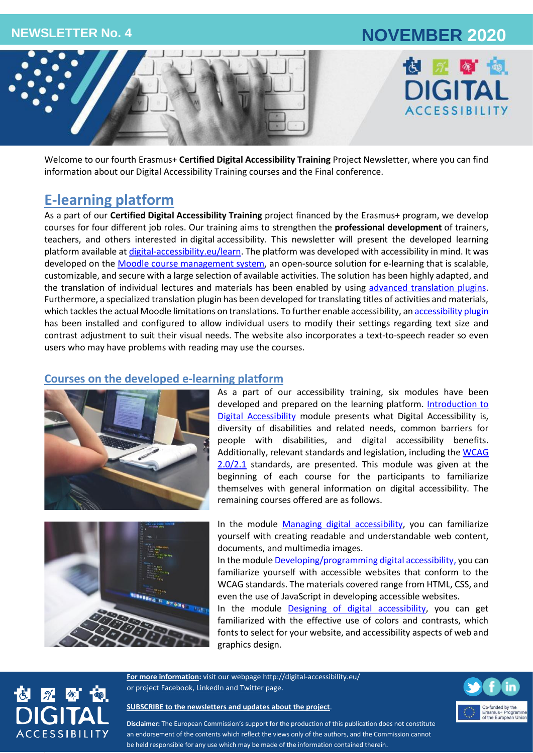# **NEWSLETTER No. 4 NOVEMBER 2020**





Welcome to our fourth Erasmus+ **Certified Digital Accessibility Training** Project Newsletter, where you can find information about our Digital Accessibility Training courses and the Final conference.

## **E-learning platform**

As a part of our **Certified Digital Accessibility Training** project financed by the Erasmus+ program, we develop courses for four different job roles. Our training aims to strengthen the **professional development** of trainers, teachers, and others interested in digital accessibility. This newsletter will present the developed learning platform available at [digital-accessibility.eu/learn.](http://digital-accessibility.eu/learn/) The platform was developed with accessibility in mind. It was developed on the [Moodle course management system,](https://moodle.org/?lang=sl) an open-source solution for e-learning that is scalable, customizable, and secure with a large selection of available activities. The solution has been highly adapted, and the translation of individual lectures and materials has been enabled by using [advanced translation plugins.](https://moodle.org/plugins/filter_multilang2) Furthermore, a specialized translation plugin has been developed for translating titles of activities and materials, which tackles the actual Moodle limitations on translations. To further enable accessibility, a[n accessibility plugin](https://moodle.org/plugins/block_accessibility) has been installed and configured to allow individual users to modify their settings regarding text size and contrast adjustment to suit their visual needs. The website also incorporates a text-to-speech reader so even users who may have problems with reading may use the courses.

### **Courses on the developed e-learning platform**



As a part of our accessibility training, six modules have been developed and prepared on the learning platform. Introduction to [Digital Accessibility](http://digital-accessibility.eu/learn/course/view.php?id=2) module presents what Digital Accessibility is, diversity of disabilities and related needs, common barriers for people with disabilities, and digital accessibility benefits. Additionally, relevant standards and legislation, including the [WCAG](https://www.w3.org/TR/WCAG21/)  [2.0/2.1](https://www.w3.org/TR/WCAG21/) standards, are presented. This module was given at the beginning of each course for the participants to familiarize themselves with general information on digital accessibility. The remaining courses offered are as follows.



In the module [Managing digital accessibility,](http://digital-accessibility.eu/learn/course/view.php?id=3) you can familiarize yourself with creating readable and understandable web content, documents, and multimedia images.

In the module **Developing/programming digital accessibility**, you can familiarize yourself with accessible websites that conform to the WCAG standards. The materials covered range from HTML, CSS, and even the use of JavaScript in developing accessible websites.

In the module [Designing of digital accessibility,](http://digital-accessibility.eu/learn/course/view.php?id=5) you can get familiarized with the effective use of colors and contrasts, which fonts to select for your website, and accessibility aspects of web and graphics design.

**For more information:** visit our webpage<http://digital-accessibility.eu/> or project [Facebook,](https://www.facebook.com/digitalaccessibilityproject/) [LinkedIn](https://www.linkedin.com/company/e-digital-accessibility-project-certified-digital-accessibility-training/) an[d Twitter](https://twitter.com/Martika94700976) page.



**[SUBSCRIBE to the newsletters and updates about the project](http://eepurl.com/gGyCET)**.



**Disclaimer:** The European Commission's support for the production of this publication does not constitute an endorsement of the contents which reflect the views only of the authors, and the Commission cannot be held responsible for any use which may be made of the information contained therein.